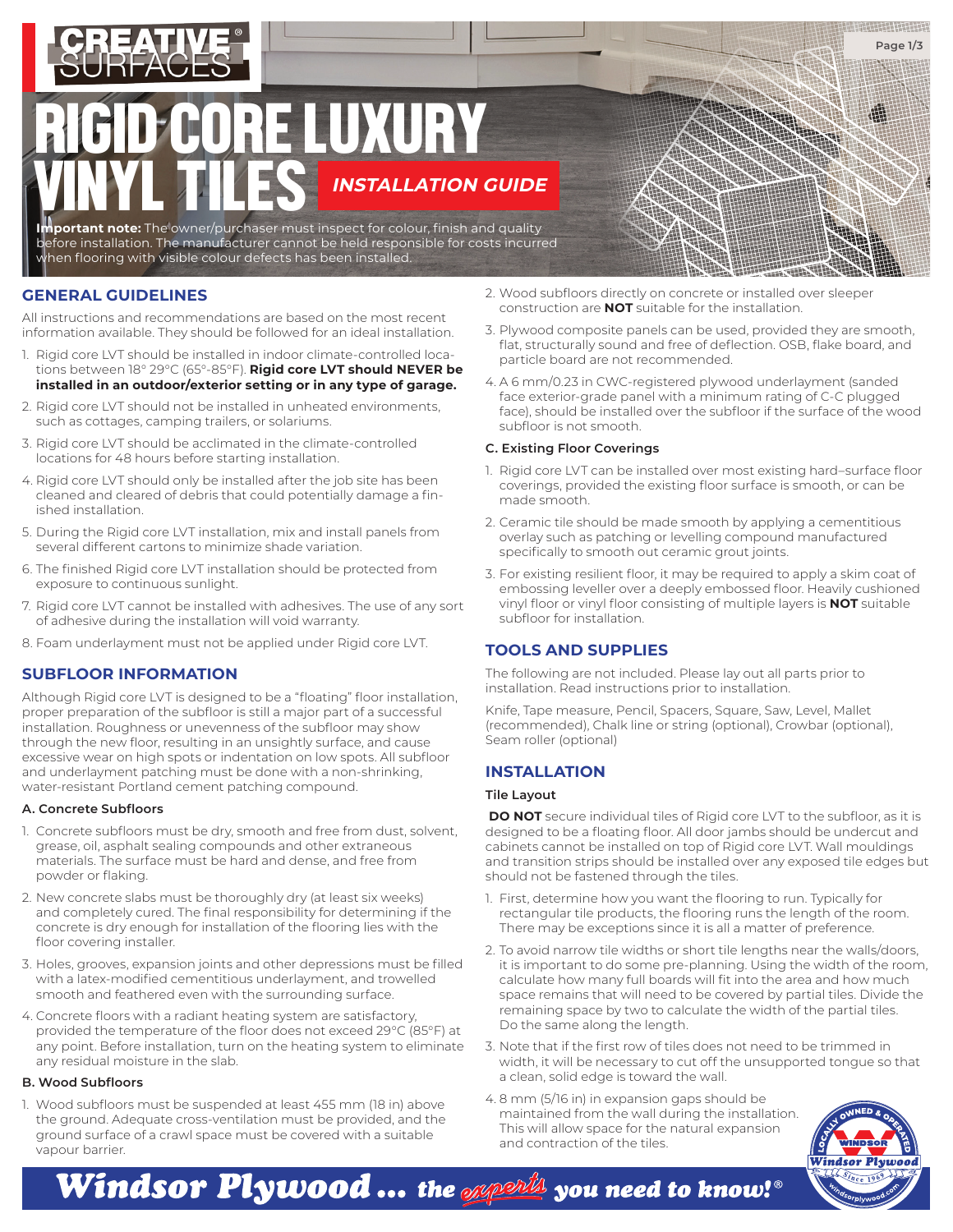

# **INSTALLATION GUIDE** RE LUXURY VINYL TILES

**ortant note:** The owner/purchaser must inspect for colour, finish and quality before installation. The manufacturer cannot be held responsible for costs incurred hen flooring with visible colour defects has been installed.

## **GENERAL GUIDELINES**

All instructions and recommendations are based on the most recent information available. They should be followed for an ideal installation.

- 1. Rigid core LVT should be installed in indoor climate-controlled locations between 18° 29°C (65°-85°F). **Rigid core LVT should NEVER be installed in an outdoor/exterior setting or in any type of garage.**
- 2. Rigid core LVT should not be installed in unheated environments, such as cottages, camping trailers, or solariums.
- 3. Rigid core LVT should be acclimated in the climate-controlled locations for 48 hours before starting installation.
- 4. Rigid core LVT should only be installed after the job site has been cleaned and cleared of debris that could potentially damage a finished installation.
- 5. During the Rigid core LVT installation, mix and install panels from several different cartons to minimize shade variation.
- 6. The finished Rigid core LVT installation should be protected from exposure to continuous sunlight.
- 7. Rigid core LVT cannot be installed with adhesives. The use of any sort of adhesive during the installation will void warranty.
- 8. Foam underlayment must not be applied under Rigid core LVT.

## **SUBFLOOR INFORMATION**

Although Rigid core LVT is designed to be a "floating" floor installation, proper preparation of the subfloor is still a major part of a successful installation. Roughness or unevenness of the subfloor may show through the new floor, resulting in an unsightly surface, and cause excessive wear on high spots or indentation on low spots. All subfloor and underlayment patching must be done with a non-shrinking, water-resistant Portland cement patching compound.

#### **A. Concrete Subfloors**

- 1. Concrete subfloors must be dry, smooth and free from dust, solvent, grease, oil, asphalt sealing compounds and other extraneous materials. The surface must be hard and dense, and free from powder or flaking.
- 2. New concrete slabs must be thoroughly dry (at least six weeks) and completely cured. The final responsibility for determining if the concrete is dry enough for installation of the flooring lies with the floor covering installer.
- 3. Holes, grooves, expansion joints and other depressions must be filled with a latex-modified cementitious underlayment, and trowelled smooth and feathered even with the surrounding surface.
- 4. Concrete floors with a radiant heating system are satisfactory, provided the temperature of the floor does not exceed 29°C (85°F) at any point. Before installation, turn on the heating system to eliminate any residual moisture in the slab.

#### **B. Wood Subfloors**

1. Wood subfloors must be suspended at least 455 mm (18 in) above the ground. Adequate cross-ventilation must be provided, and the ground surface of a crawl space must be covered with a suitable vapour barrier.

- 2. Wood subfloors directly on concrete or installed over sleeper construction are **NOT** suitable for the installation.
- 3. Plywood composite panels can be used, provided they are smooth, flat, structurally sound and free of deflection. OSB, flake board, and particle board are not recommended.
- 4. A 6 mm/0.23 in CWC-registered plywood underlayment (sanded face exterior-grade panel with a minimum rating of C-C plugged face), should be installed over the subfloor if the surface of the wood subfloor is not smooth.

## **C. Existing Floor Coverings**

- 1. Rigid core LVT can be installed over most existing hard–surface floor coverings, provided the existing floor surface is smooth, or can be made smooth.
- 2. Ceramic tile should be made smooth by applying a cementitious overlay such as patching or levelling compound manufactured specifically to smooth out ceramic grout joints.
- 3. For existing resilient floor, it may be required to apply a skim coat of embossing leveller over a deeply embossed floor. Heavily cushioned vinyl floor or vinyl floor consisting of multiple layers is **NOT** suitable subfloor for installation.

# **TOOLS AND SUPPLIES**

The following are not included. Please lay out all parts prior to installation. Read instructions prior to installation.

Knife, Tape measure, Pencil, Spacers, Square, Saw, Level, Mallet (recommended), Chalk line or string (optional), Crowbar (optional), Seam roller (optional)

# **INSTALLATION**

## **Tile Layout**

**DO NOT** secure individual tiles of Rigid core LVT to the subfloor, as it is designed to be a floating floor. All door jambs should be undercut and cabinets cannot be installed on top of Rigid core LVT. Wall mouldings and transition strips should be installed over any exposed tile edges but should not be fastened through the tiles.

- 1. First, determine how you want the flooring to run. Typically for rectangular tile products, the flooring runs the length of the room. There may be exceptions since it is all a matter of preference.
- 2. To avoid narrow tile widths or short tile lengths near the walls/doors, it is important to do some pre-planning. Using the width of the room, calculate how many full boards will fit into the area and how much space remains that will need to be covered by partial tiles. Divide the remaining space by two to calculate the width of the partial tiles. Do the same along the length.
- 3. Note that if the first row of tiles does not need to be trimmed in width, it will be necessary to cut off the unsupported tongue so that a clean, solid edge is toward the wall.
- 4. 8 mm (5/16 in) in expansion gaps should be maintained from the wall during the installation. This will allow space for the natural expansion and contraction of the tiles.



**Page 1/3**

井田井田井井

Windsor Plywood … the  $\mathscr{A}$  wou need to know! $^{\circ}$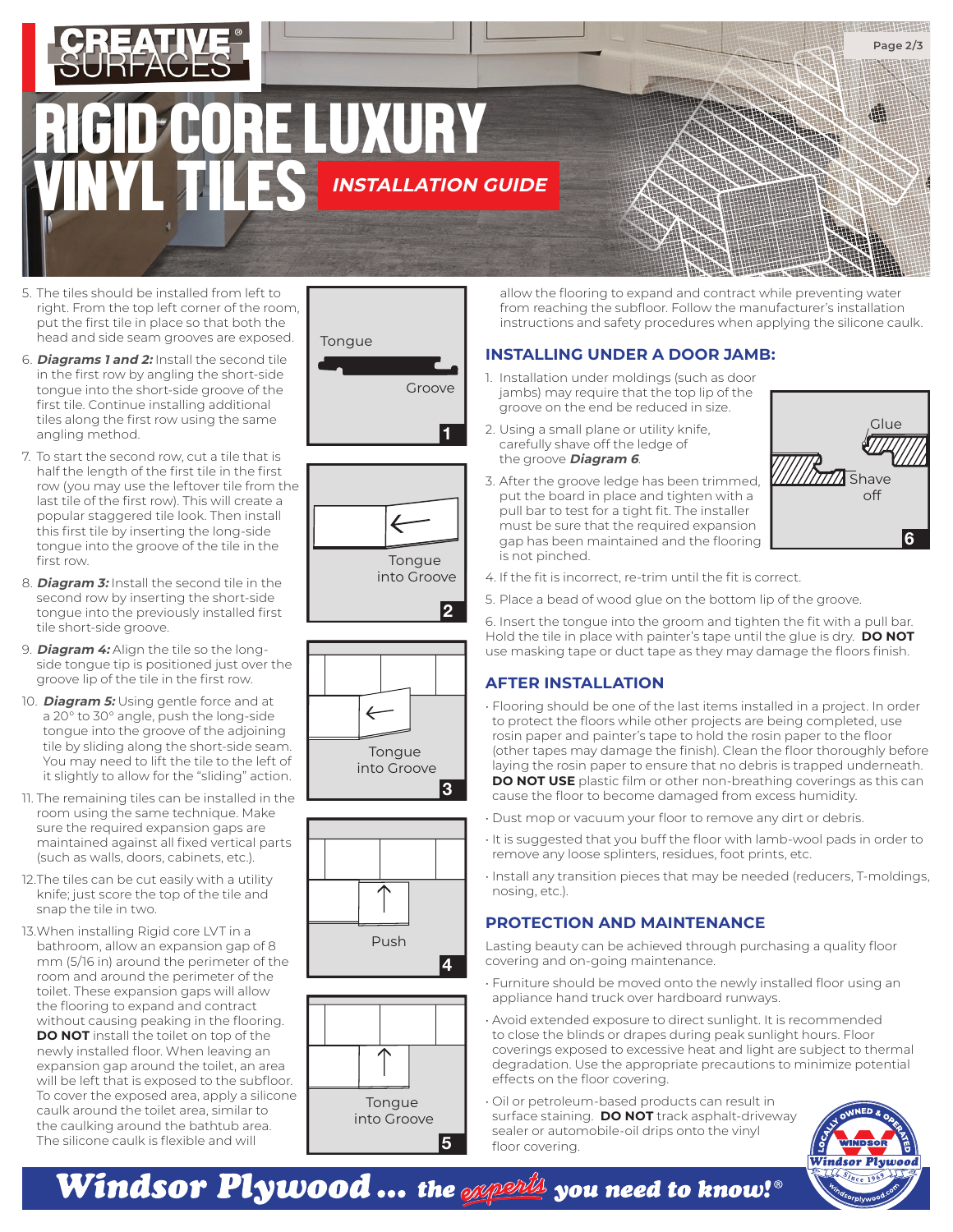

- 5. The tiles should be installed from left to right. From the top left corner of the room, put the first tile in place so that both the head and side seam grooves are exposed.
- 6. **Diagrams 1 and 2:** Install the second tile in the first row by angling the short-side tongue into the short-side groove of the first tile. Continue installing additional tiles along the first row using the same angling method.
- 7. To start the second row, cut a tile that is half the length of the first tile in the first row (you may use the leftover tile from the last tile of the first row). This will create a popular staggered tile look. Then install this first tile by inserting the long-side tongue into the groove of the tile in the first row.
- 8. **Diagram 3:** Install the second tile in the second row by inserting the short-side tongue into the previously installed first tile short-side groove.
- 9. **Diagram 4:** Align the tile so the longside tongue tip is positioned just over the groove lip of the tile in the first row.
- 10. **Diagram 5:** Using gentle force and at a 20° to 30° angle, push the long-side tongue into the groove of the adjoining tile by sliding along the short-side seam. You may need to lift the tile to the left of it slightly to allow for the "sliding" action.
- 11. The remaining tiles can be installed in the room using the same technique. Make sure the required expansion gaps are maintained against all fixed vertical parts (such as walls, doors, cabinets, etc.).
- 12. The tiles can be cut easily with a utility knife; just score the top of the tile and snap the tile in two.
- 13. When installing Rigid core LVT in a bathroom, allow an expansion gap of 8 mm (5/16 in) around the perimeter of the room and around the perimeter of the toilet. These expansion gaps will allow the flooring to expand and contract without causing peaking in the flooring. **DO NOT** install the toilet on top of the newly installed floor. When leaving an expansion gap around the toilet, an area will be left that is exposed to the subfloor. To cover the exposed area, apply a silicone caulk around the toilet area, similar to the caulking around the bathtub area. The silicone caulk is flexible and will





into Groove

**1**

**2**







allow the flooring to expand and contract while preventing water from reaching the subfloor. Follow the manufacturer's installation instructions and safety procedures when applying the silicone caulk.

# **INSTALLING UNDER A DOOR JAMB:**

- 1. Installation under moldings (such as door jambs) may require that the top lip of the groove on the end be reduced in size.
- 2. Using a small plane or utility knife, carefully shave off the ledge of the groove **Diagram 6**.
- 3. After the groove ledge has been trimmed, put the board in place and tighten with a pull bar to test for a tight fit. The installer must be sure that the required expansion gap has been maintained and the flooring is not pinched.



- 4. If the fit is incorrect, re-trim until the fit is correct.
- 5. Place a bead of wood glue on the bottom lip of the groove.

6. Insert the tongue into the groom and tighten the fit with a pull bar. Hold the tile in place with painter's tape until the glue is dry. **DO NOT** use masking tape or duct tape as they may damage the floors finish.

# **AFTER INSTALLATION**

• Flooring should be one of the last items installed in a project. In order to protect the floors while other projects are being completed, use rosin paper and painter's tape to hold the rosin paper to the floor (other tapes may damage the finish). Clean the floor thoroughly before laying the rosin paper to ensure that no debris is trapped underneath. **DO NOT USE** plastic film or other non-breathing coverings as this can cause the floor to become damaged from excess humidity.

- Dust mop or vacuum your floor to remove any dirt or debris.
- It is suggested that you buff the floor with lamb-wool pads in order to remove any loose splinters, residues, foot prints, etc.
- Install any transition pieces that may be needed (reducers, T-moldings, nosing, etc.).

# **PROTECTION AND MAINTENANCE**

Lasting beauty can be achieved through purchasing a quality floor covering and on-going maintenance.

- Furniture should be moved onto the newly installed floor using an appliance hand truck over hardboard runways.
- Avoid extended exposure to direct sunlight. It is recommended to close the blinds or drapes during peak sunlight hours. Floor coverings exposed to excessive heat and light are subject to thermal degradation. Use the appropriate precautions to minimize potential effects on the floor covering.

• Oil or petroleum-based products can result in surface staining. **DO NOT** track asphalt-driveway sealer or automobile-oil drips onto the vinyl floor covering.



Windsor Plywood … the <sub>Wi</sub>nghy you need to know!®